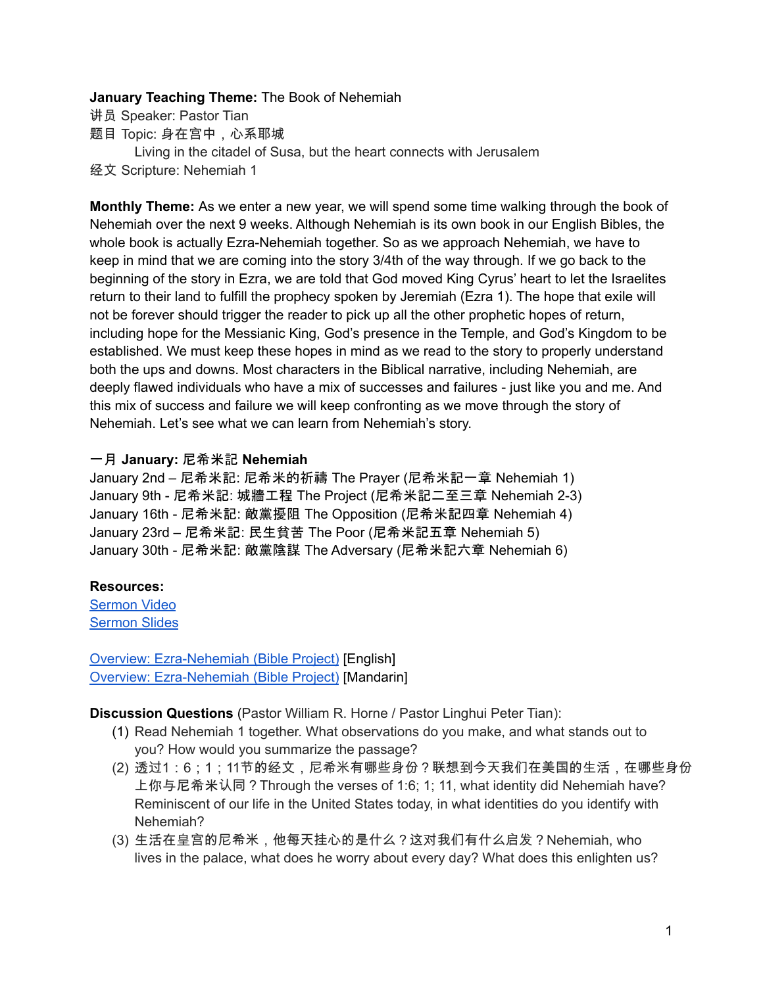## **January Teaching Theme:** The Book of Nehemiah

- 讲员 Speaker: Pastor Tian
- 题目 Topic: 身在宫中,心系耶城
- Living in the citadel of Susa, but the heart connects with Jerusalem
- 经文 Scripture: Nehemiah 1

<span id="page-0-0"></span>**Monthly Theme:** As we enter a new year, we will spend some time walking through the book of Nehemiah over the next 9 weeks. Although Nehemiah is its own book in our English Bibles, the whole book is actually Ezra-Nehemiah together. So as we approach Nehemiah, we have to keep in mind that we are coming into the story 3/4th of the way through. If we go back to the beginning of the story in Ezra, we are told that God moved King Cyrus' heart to let the Israelites return to their land to fulfill the prophecy spoken by Jeremiah (Ezra 1). The hope that exile will not be forever should trigger the reader to pick up all the other prophetic hopes of return, including hope for the Messianic King, God's presence in the Temple, and God's Kingdom to be established. We must keep these hopes in mind as we read to the story to properly understand both the ups and downs. Most characters in the Biblical narrative, including Nehemiah, are deeply flawed individuals who have a mix of successes and failures - just like you and me. And this mix of success and failure we will keep confronting as we move through the story of Nehemiah. Let's see what we can learn from Nehemiah's story.

## 一月 **January:** 尼希米記 **Nehemiah**

January 2nd – 尼希米記: 尼希米的祈禱 The Prayer (尼希米記一章 Nehemiah 1) January 9th - 尼希米記: 城牆工程 The Project (尼希米記二至三章 Nehemiah 2-3) January 16th - 尼希米記: 敵黨擾阻 The Opposition (尼希米記四章 Nehemiah 4) January 23rd – 尼希米記: 民生貧苦 The Poor (尼希米記五章 Nehemiah 5) January 30th - 尼希米記: 敵黨陰謀 The Adversary (尼希米記六章 Nehemiah 6)

## **Resources:**

[Sermon](https://www.youtube.com/watch?v=egDclKnppRA) Video [Sermon](https://docs.google.com/presentation/d/18ZZx6P4QsHin_GIcpbNerLYfa7HNXKaT/edit?usp=sharing&ouid=111022305003760555164&rtpof=true&sd=true) Slides

<span id="page-0-1"></span>Overview: [Ezra-Nehemiah](https://bibleproject.com/explore/video/ezra-nehemiah/) (Bible Project) [English] Overview: [Ezra-Nehemiah](https://www.youtube.com/watch?v=S4pg2h8DOM4&list=PLE-R0uydm0uN0xKD3tw0aheiQojlf1JB1&index=37) (Bible Project) [Mandarin]

**Discussion Questions** (Pastor William R. Horne / Pastor Linghui Peter Tian):

- (1) Read Nehemiah 1 together. What observations do you make, and what stands out to you? How would you summarize the passage?
- (2) 透过1:6;1;11节的经文,尼希米有哪些身份?联想到今天我们在美国的生活,在哪些身份 上你与尼希米认同?Through the verses of 1:6; 1; 11, what identity did Nehemiah have? Reminiscent of our life in the United States today, in what identities do you identify with Nehemiah?
- (3) 生活在皇宫的尼希米,他每天挂心的是什么?这对我们有什么启发?Nehemiah, who lives in the palace, what does he worry about every day? What does this enlighten us?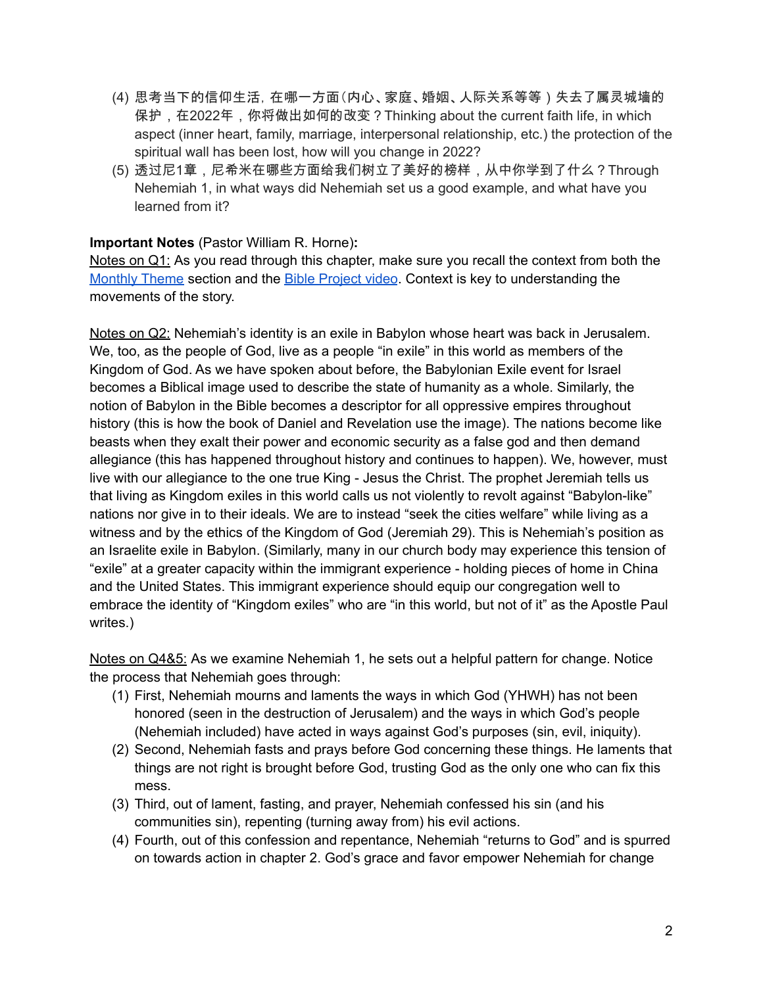- (4) 思考当下的信仰生活,在哪一方面(内心、家庭、婚姻、人际关系等等)失去了属灵城墙的 保护,在2022年,你将做出如何的改变?Thinking about the current faith life, in which aspect (inner heart, family, marriage, interpersonal relationship, etc.) the protection of the spiritual wall has been lost, how will you change in 2022?
- (5) 透过尼1章,尼希米在哪些方面给我们树立了美好的榜样,从中你学到了什么?Through Nehemiah 1, in what ways did Nehemiah set us a good example, and what have you learned from it?

## **Important Notes** (Pastor William R. Horne)**:**

Notes on Q1: As you read through this chapter, make sure you recall the context from both the [Monthly](#page-0-0) Theme section and the Bible [Project](#page-0-1) video. Context is key to understanding the movements of the story.

Notes on Q2: Nehemiah's identity is an exile in Babylon whose heart was back in Jerusalem. We, too, as the people of God, live as a people "in exile" in this world as members of the Kingdom of God. As we have spoken about before, the Babylonian Exile event for Israel becomes a Biblical image used to describe the state of humanity as a whole. Similarly, the notion of Babylon in the Bible becomes a descriptor for all oppressive empires throughout history (this is how the book of Daniel and Revelation use the image). The nations become like beasts when they exalt their power and economic security as a false god and then demand allegiance (this has happened throughout history and continues to happen). We, however, must live with our allegiance to the one true King - Jesus the Christ. The prophet Jeremiah tells us that living as Kingdom exiles in this world calls us not violently to revolt against "Babylon-like" nations nor give in to their ideals. We are to instead "seek the cities welfare" while living as a witness and by the ethics of the Kingdom of God (Jeremiah 29). This is Nehemiah's position as an Israelite exile in Babylon. (Similarly, many in our church body may experience this tension of "exile" at a greater capacity within the immigrant experience - holding pieces of home in China and the United States. This immigrant experience should equip our congregation well to embrace the identity of "Kingdom exiles" who are "in this world, but not of it" as the Apostle Paul writes.)

Notes on Q4&5: As we examine Nehemiah 1, he sets out a helpful pattern for change. Notice the process that Nehemiah goes through:

- (1) First, Nehemiah mourns and laments the ways in which God (YHWH) has not been honored (seen in the destruction of Jerusalem) and the ways in which God's people (Nehemiah included) have acted in ways against God's purposes (sin, evil, iniquity).
- (2) Second, Nehemiah fasts and prays before God concerning these things. He laments that things are not right is brought before God, trusting God as the only one who can fix this mess.
- (3) Third, out of lament, fasting, and prayer, Nehemiah confessed his sin (and his communities sin), repenting (turning away from) his evil actions.
- (4) Fourth, out of this confession and repentance, Nehemiah "returns to God" and is spurred on towards action in chapter 2. God's grace and favor empower Nehemiah for change